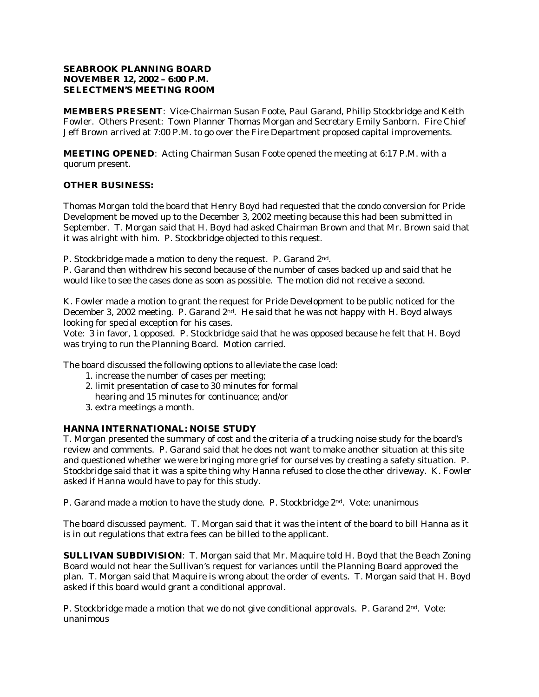# **SEABROOK PLANNING BOARD NOVEMBER 12, 2002 – 6:00 P.M. SELECTMEN'S MEETING ROOM**

**MEMBERS PRESENT**: Vice-Chairman Susan Foote, Paul Garand, Philip Stockbridge and Keith Fowler. Others Present: Town Planner Thomas Morgan and Secretary Emily Sanborn. Fire Chief Jeff Brown arrived at 7:00 P.M. to go over the Fire Department proposed capital improvements.

**MEETING OPENED**: Acting Chairman Susan Foote opened the meeting at 6:17 P.M. with a quorum present.

# **OTHER BUSINESS:**

Thomas Morgan told the board that Henry Boyd had requested that the condo conversion for Pride Development be moved up to the December 3, 2002 meeting because this had been submitted in September. T. Morgan said that H. Boyd had asked Chairman Brown and that Mr. Brown said that it was alright with him. P. Stockbridge objected to this request.

P. Stockbridge made a motion to deny the request. P. Garand 2nd.

P. Garand then withdrew his second because of the number of cases backed up and said that he would like to see the cases done as soon as possible. The motion did not receive a second.

K. Fowler made a motion to grant the request for Pride Development to be public noticed for the December 3, 2002 meeting. P. Garand 2<sup>nd</sup>. He said that he was not happy with H. Boyd always looking for special exception for his cases.

Vote: 3 in favor, 1 opposed. P. Stockbridge said that he was opposed because he felt that H. Boyd was trying to run the Planning Board. Motion carried.

The board discussed the following options to alleviate the case load:

- 1. increase the number of cases per meeting;
- 2. limit presentation of case to 30 minutes for formal hearing and 15 minutes for continuance; and/or
- 3. extra meetings a month.

# **HANNA INTERNATIONAL: NOISE STUDY**

T. Morgan presented the summary of cost and the criteria of a trucking noise study for the board's review and comments. P. Garand said that he does not want to make another situation at this site and questioned whether we were bringing more grief for ourselves by creating a safety situation. P. Stockbridge said that it was a spite thing why Hanna refused to close the other driveway. K. Fowler asked if Hanna would have to pay for this study.

P. Garand made a motion to have the study done. P. Stockbridge 2<sup>nd</sup>. Vote: unanimous

The board discussed payment. T. Morgan said that it was the intent of the board to bill Hanna as it is in out regulations that extra fees can be billed to the applicant.

**SULLIVAN SUBDIVISION**: T. Morgan said that Mr. Maquire told H. Boyd that the Beach Zoning Board would not hear the Sullivan's request for variances until the Planning Board approved the plan. T. Morgan said that Maquire is wrong about the order of events. T. Morgan said that H. Boyd asked if this board would grant a conditional approval.

P. Stockbridge made a motion that we do not give conditional approvals. P. Garand 2nd. Vote: unanimous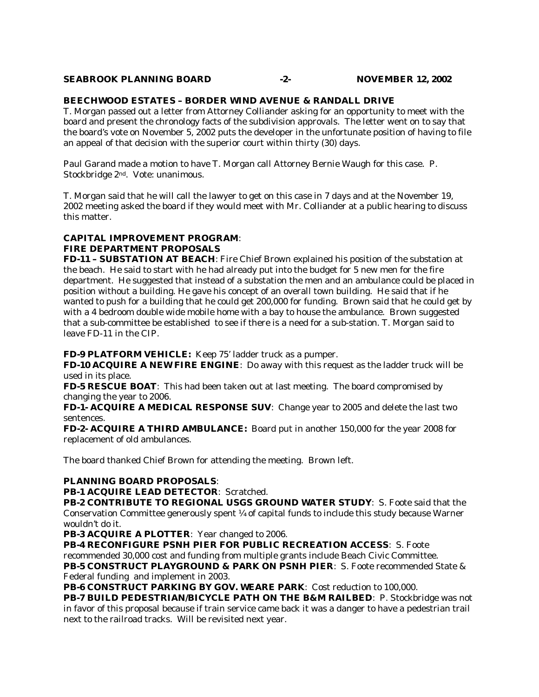## **SEABROOK PLANNING BOARD -2- NOVEMBER 12, 2002**

## **BEECHWOOD ESTATES – BORDER WIND AVENUE & RANDALL DRIVE**

T. Morgan passed out a letter from Attorney Colliander asking for an opportunity to meet with the board and present the chronology facts of the subdivision approvals. The letter went on to say that the board's vote on November 5, 2002 puts the developer in the unfortunate position of having to file an appeal of that decision with the superior court within thirty (30) days.

Paul Garand made a motion to have T. Morgan call Attorney Bernie Waugh for this case. P. Stockbridge 2nd. Vote: unanimous.

T. Morgan said that he will call the lawyer to get on this case in 7 days and at the November 19, 2002 meeting asked the board if they would meet with Mr. Colliander at a public hearing to discuss this matter.

# **CAPITAL IMPROVEMENT PROGRAM**:

# *FIRE DEPARTMENT PROPOSALS*

*FD-11 – SUBSTATION AT BEACH*: Fire Chief Brown explained his position of the substation at the beach. He said to start with he had already put into the budget for 5 new men for the fire department. He suggested that instead of a substation the men and an ambulance could be placed in position without a building. He gave his concept of an overall town building. He said that if he wanted to push for a building that he could get 200,000 for funding. Brown said that he could get by with a 4 bedroom double wide mobile home with a bay to house the ambulance. Brown suggested that a sub-committee be established to see if there is a need for a sub-station. T. Morgan said to leave FD-11 in the CIP.

## *FD-9 PLATFORM VEHICLE:* Keep 75' ladder truck as a pumper.

*FD-10 ACQUIRE A NEW FIRE ENGINE*: Do away with this request as the ladder truck will be used in its place.

*FD-5 RESCUE BOAT*: This had been taken out at last meeting. The board compromised by changing the year to 2006.

*FD-1- ACQUIRE A MEDICAL RESPONSE SUV*: Change year to 2005 and delete the last two sentences.

*FD-2- ACQUIRE A THIRD AMBULANCE:* Board put in another 150,000 for the year 2008 for replacement of old ambulances.

The board thanked Chief Brown for attending the meeting. Brown left.

# **PLANNING BOARD PROPOSALS**:

## *PB-1 ACQUIRE LEAD DETECTOR*: Scratched.

*PB-2 CONTRIBUTE TO REGIONAL USGS GROUND WATER STUDY*: S. Foote said that the Conservation Committee generously spent ¼ of capital funds to include this study because Warner wouldn't do it.

*PB-3 ACQUIRE A PLOTTER*: Year changed to 2006.

*PB-4 RECONFIGURE PSNH PIER FOR PUBLIC RECREATION ACCESS*: S. Foote

recommended 30,000 cost and funding from multiple grants include Beach Civic Committee.

*PB-5 CONSTRUCT PLAYGROUND & PARK ON PSNH PIER*: S. Foote recommended State & Federal funding and implement in 2003.

PB-6 CONSTRUCT PARKING BY GOV. WEARE PARK: Cost reduction to 100,000.

*PB-7 BUILD PEDESTRIAN/BICYCLE PATH ON THE B&M RAILBED*: P. Stockbridge was not in favor of this proposal because if train service came back it was a danger to have a pedestrian trail next to the railroad tracks. Will be revisited next year.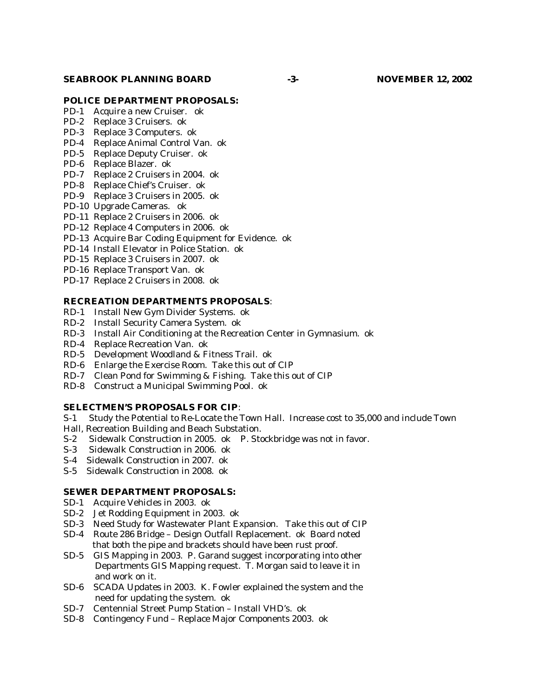#### **SEABROOK PLANNING BOARD -3- NOVEMBER 12, 2002**

#### **POLICE DEPARTMENT PROPOSALS:**

- PD-1 Acquire a new Cruiser. ok
- PD-2 Replace 3 Cruisers. ok
- PD-3 Replace 3 Computers. ok
- PD-4 Replace Animal Control Van. ok
- PD-5 Replace Deputy Cruiser. ok
- PD-6 Replace Blazer. ok
- PD-7 Replace 2 Cruisers in 2004. ok
- PD-8 Replace Chief's Cruiser. ok
- PD-9 Replace 3 Cruisers in 2005. ok
- PD-10 Upgrade Cameras. ok
- PD-11 Replace 2 Cruisers in 2006. ok
- PD-12 Replace 4 Computers in 2006. ok
- PD-13 Acquire Bar Coding Equipment for Evidence. ok
- PD-14 Install Elevator in Police Station. ok
- PD-15 Replace 3 Cruisers in 2007. ok
- PD-16 Replace Transport Van. ok
- PD-17 Replace 2 Cruisers in 2008. ok

## **RECREATION DEPARTMENTS PROPOSALS**:

- RD-1 Install New Gym Divider Systems. ok
- RD-2 Install Security Camera System. ok
- RD-3 Install Air Conditioning at the Recreation Center in Gymnasium. ok
- RD-4 Replace Recreation Van. ok
- RD-5 Development Woodland & Fitness Trail. ok
- RD-6 Enlarge the Exercise Room. Take this out of CIP
- RD-7 Clean Pond for Swimming & Fishing. Take this out of CIP
- RD-8 Construct a Municipal Swimming Pool. ok

# **SELECTMEN'S PROPOSALS FOR CIP**:

- S-1 Study the Potential to Re-Locate the Town Hall. Increase cost to 35,000 and include Town
- Hall, Recreation Building and Beach Substation.
- S-2 Sidewalk Construction in 2005. ok P. Stockbridge was not in favor.
- S-3 Sidewalk Construction in 2006. ok
- S-4 Sidewalk Construction in 2007. ok
- S-5 Sidewalk Construction in 2008. ok

## **SEWER DEPARTMENT PROPOSALS:**

- SD-1 Acquire Vehicles in 2003. ok
- SD-2 Jet Rodding Equipment in 2003. ok
- SD-3 Need Study for Wastewater Plant Expansion. Take this out of CIP
- SD-4 Route 286 Bridge Design Outfall Replacement. ok Board noted that both the pipe and brackets should have been rust proof.
- SD-5 GIS Mapping in 2003. P. Garand suggest incorporating into other Departments GIS Mapping request. T. Morgan said to leave it in and work on it.
- SD-6 SCADA Updates in 2003. K. Fowler explained the system and the need for updating the system. ok
- SD-7 Centennial Street Pump Station Install VHD's. ok
- SD-8 Contingency Fund Replace Major Components 2003. ok